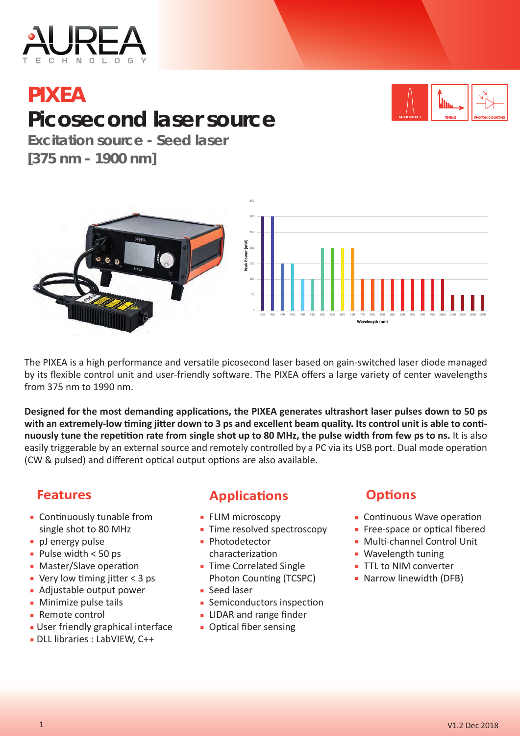

# **PIXEA Picosecond laser source**



**Excitation source - Seed laser [375 nm - 1900 nm]**



The PIXEA is a high performance and versatile picosecond laser based on gain-switched laser diode managed by its flexible control unit and user-friendly software. The PIXEA offers a large variety of center wavelengths from 375 nm to 1990 nm.

Designed for the most demanding applications, the PIXEA generates ultrashort laser pulses down to 50 ps with an extremely-low timing jitter down to 3 ps and excellent beam quality. Its control unit is able to conti**nuously tune the repetition rate from single shot up to 80 MHz, the pulse width from few ps to ns.** It is also easily triggerable by an external source and remotely controlled by a PC via its USB port. Dual mode operation (CW & pulsed) and different optical output options are also available.

- **Continuously tunable from** single shot to 80 MHz
- **•** pJ energy pulse
- $\blacksquare$  Pulse width < 50 ps
- **Master/Slave operation**
- **Very low timing jitter < 3 ps**
- Adjustable output power
- **Minimize pulse tails**
- Remote control
- **User friendly graphical interface**
- DLL libraries : LabVIEW, C++
- **Features Applications** 
	- **ELIM microscopy**
	- **Time resolved spectroscopy**
	- **·** Photodetector characterization
	- **Time Correlated Single** Photon Counting (TCSPC)
	- Seed laser
	- **Semiconductors inspection**
	- **EXEC** IIDAR and range finder
	- **Optical fiber sensing**

### **Options**

- Continuous Wave operation
- **Free-space or optical fibered**
- **Multi-channel Control Unit**
- **Wavelength tuning**
- **TTL to NIM converter**
- **Narrow linewidth (DFB)**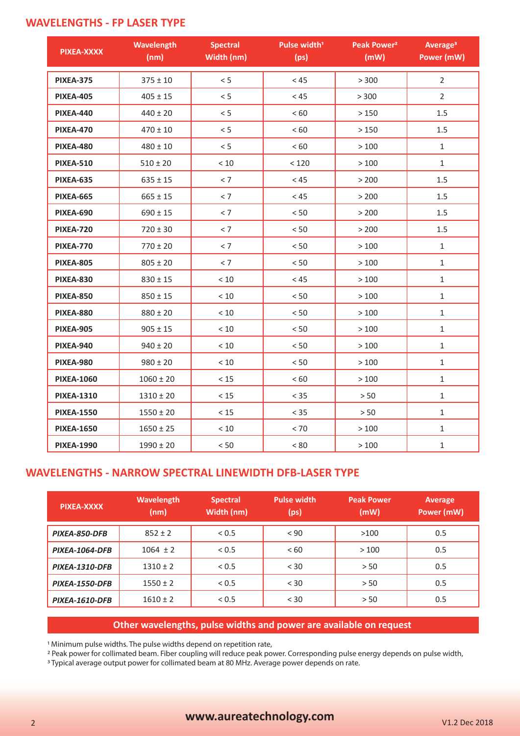### **WAVELENGTHS - FP LASER TYPE**

| PIXEA-XXXX        | <b>Wavelength</b><br>(nm) | <b>Spectral</b><br>Width (nm) | Pulse width <sup>1</sup><br>(p <sub>s</sub> ) | Peak Power <sup>2</sup><br>(mW) | Average <sup>3</sup><br><b>Power (mW)</b> |
|-------------------|---------------------------|-------------------------------|-----------------------------------------------|---------------------------------|-------------------------------------------|
| <b>PIXEA-375</b>  | $375 \pm 10$              | < 5                           | < 45                                          | > 300                           | $\overline{2}$                            |
| <b>PIXEA-405</b>  | $405 \pm 15$              | < 5                           | < 45                                          | > 300                           | $\overline{2}$                            |
| <b>PIXEA-440</b>  | $440 \pm 20$              | < 5                           | < 60                                          | >150                            | 1.5                                       |
| <b>PIXEA-470</b>  | $470 \pm 10$              | < 5                           | < 60                                          | >150                            | 1.5                                       |
| <b>PIXEA-480</b>  | $480 \pm 10$              | < 5                           | < 60                                          | >100                            | $\mathbf{1}$                              |
| <b>PIXEA-510</b>  | $510 \pm 20$              | $<10$                         | < 120                                         | >100                            | $\mathbf{1}$                              |
| <b>PIXEA-635</b>  | $635 \pm 15$              | < 7                           | < 45                                          | > 200                           | 1.5                                       |
| <b>PIXEA-665</b>  | $665 \pm 15$              | < 7                           | < 45                                          | > 200                           | 1.5                                       |
| <b>PIXEA-690</b>  | $690 \pm 15$              | < 7                           | < 50                                          | > 200                           | 1.5                                       |
| <b>PIXEA-720</b>  | $720 \pm 30$              | < 7                           | < 50                                          | > 200                           | 1.5                                       |
| <b>PIXEA-770</b>  | $770 \pm 20$              | < 7                           | $< 50$                                        | >100                            | $\mathbf{1}$                              |
| <b>PIXEA-805</b>  | $805 \pm 20$              | < 7                           | < 50                                          | >100                            | $\mathbf{1}$                              |
| <b>PIXEA-830</b>  | $830 \pm 15$              | $<10$                         | < 45                                          | >100                            | $\mathbf{1}$                              |
| <b>PIXEA-850</b>  | $850 \pm 15$              | $<10$                         | $< 50$                                        | >100                            | $\mathbf{1}$                              |
| <b>PIXEA-880</b>  | $880 \pm 20$              | $<10\,$                       | $< 50$                                        | >100                            | $\mathbf{1}$                              |
| <b>PIXEA-905</b>  | $905 \pm 15$              | $<10$                         | $< 50$                                        | >100                            | $\mathbf{1}$                              |
| <b>PIXEA-940</b>  | $940 \pm 20$              | $<10$                         | $< 50$                                        | >100                            | $\mathbf{1}$                              |
| <b>PIXEA-980</b>  | $980 \pm 20$              | $<10$                         | $< 50$                                        | >100                            | $\mathbf{1}$                              |
| <b>PIXEA-1060</b> | $1060 \pm 20$             | < 15                          | < 60                                          | >100                            | $\mathbf{1}$                              |
| <b>PIXEA-1310</b> | $1310 \pm 20$             | $<15$                         | $< 35$                                        | $> 50$                          | $\mathbf{1}$                              |
| <b>PIXEA-1550</b> | $1550 \pm 20$             | $<15$                         | $< 35$                                        | $>50$                           | $\mathbf{1}$                              |
| <b>PIXEA-1650</b> | $1650 \pm 25$             | $<10\,$                       | $< 70$                                        | >100                            | $\mathbf{1}$                              |
| <b>PIXEA-1990</b> | $1990 \pm 20$             | $< 50$                        | < 80                                          | >100                            | $\mathbf 1$                               |

### **WAVELENGTHS - NARROW SPECTRAL LINEWIDTH DFB-LASER TYPE**

| PIXEA-XXXX            | <b>Wavelength</b><br>(nm) | <b>Spectral</b><br>Width (nm) | <b>Pulse width</b><br>(ps) | <b>Peak Power</b><br>(mW) | Average<br>Power (mW) |
|-----------------------|---------------------------|-------------------------------|----------------------------|---------------------------|-----------------------|
| PIXEA-850-DFB         | $852 \pm 2$               | < 0.5                         | < 90                       | >100                      | 0.5                   |
| PIXEA-1064-DFB        | $1064 \pm 2$              | < 0.5                         | < 60                       | >100                      | 0.5                   |
| <b>PIXEA-1310-DFB</b> | $1310 \pm 2$              | < 0.5                         | < 30                       | > 50                      | 0.5                   |
| <b>PIXEA-1550-DFB</b> | $1550 \pm 2$              | < 0.5                         | < 30                       | > 50                      | 0.5                   |
| PIXEA-1610-DFB        | $1610 \pm 2$              | < 0.5                         | < 30                       | > 50                      | 0.5                   |

#### **Other wavelengths, pulse widths and power are available on request**

1 Minimum pulse widths. The pulse widths depend on repetition rate,

<sup>2</sup> Peak power for collimated beam. Fiber coupling will reduce peak power. Corresponding pulse energy depends on pulse width,

<sup>3</sup> Typical average output power for collimated beam at 80 MHz. Average power depends on rate.

## <sup>2</sup> **www.aureatechnology.com** V1.2 Dec 2018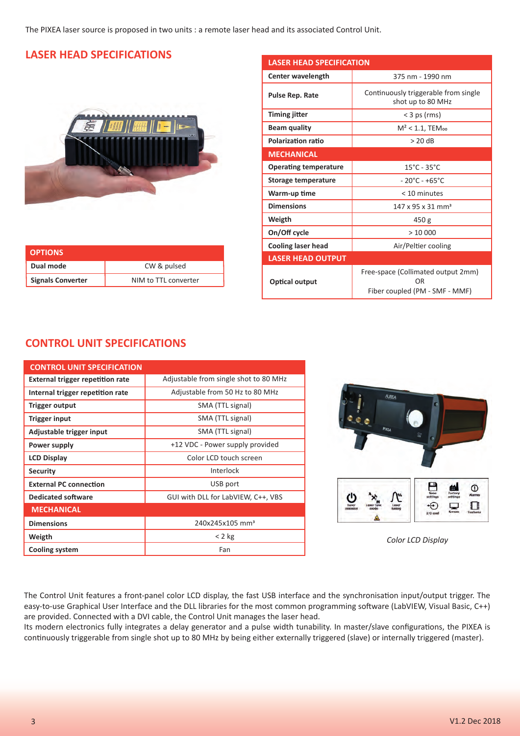The PIXEA laser source is proposed in two units : a remote laser head and its associated Control Unit.

### **LASER HEAD SPECIFICATIONS**



| <b>OPTIONS</b>           |                      |
|--------------------------|----------------------|
| Dual mode                | CW & pulsed          |
| <b>Signals Converter</b> | NIM to TTL converter |

| <b>LASER HEAD SPECIFICATION</b> |                                                                            |  |  |
|---------------------------------|----------------------------------------------------------------------------|--|--|
| Center wavelength               | 375 nm - 1990 nm                                                           |  |  |
| <b>Pulse Rep. Rate</b>          | Continuously triggerable from single<br>shot up to 80 MHz                  |  |  |
| <b>Timing jitter</b>            | $<$ 3 ps (rms)                                                             |  |  |
| <b>Beam quality</b>             | $M^2$ < 1.1, TEM <sub>00</sub>                                             |  |  |
| <b>Polarization ratio</b>       | $> 20$ dB                                                                  |  |  |
| <b>MECHANICAL</b>               |                                                                            |  |  |
| <b>Operating temperature</b>    | $15^{\circ}$ C - 35 $^{\circ}$ C                                           |  |  |
| Storage temperature             | - 20°C - +65°C                                                             |  |  |
| Warm-up time                    | < 10 minutes                                                               |  |  |
| <b>Dimensions</b>               | $147 \times 95 \times 31 \text{ mm}^3$                                     |  |  |
| Weigth                          | 450 g                                                                      |  |  |
| On/Off cycle                    | >10000                                                                     |  |  |
| <b>Cooling laser head</b>       | Air/Peltier cooling                                                        |  |  |
| <b>LASER HEAD OUTPUT</b>        |                                                                            |  |  |
| <b>Optical output</b>           | Free-space (Collimated output 2mm)<br>OR<br>Fiber coupled (PM - SMF - MMF) |  |  |

### **CONTROL UNIT SPECIFICATIONS**

| <b>CONTROL UNIT SPECIFICATION</b>       |                                       |
|-----------------------------------------|---------------------------------------|
| <b>External trigger repetition rate</b> | Adjustable from single shot to 80 MHz |
| Internal trigger repetition rate        | Adjustable from 50 Hz to 80 MHz       |
| Trigger output                          | SMA (TTL signal)                      |
| Trigger input                           | SMA (TTL signal)                      |
| Adjustable trigger input                | SMA (TTL signal)                      |
| Power supply                            | +12 VDC - Power supply provided       |
| <b>LCD Display</b>                      | Color LCD touch screen                |
| <b>Security</b>                         | Interlock                             |
| <b>External PC connection</b>           | USB port                              |
| <b>Dedicated software</b>               | GUI with DLL for LabVIEW, C++, VBS    |
| <b>MECHANICAL</b>                       |                                       |
| <b>Dimensions</b>                       | 240x245x105 mm <sup>3</sup>           |
| Weigth                                  | $< 2$ kg                              |
| <b>Cooling system</b>                   | Fan                                   |



*Color LCD Display*

The Control Unit features a front-panel color LCD display, the fast USB interface and the synchronisation input/output trigger. The easy-to-use Graphical User Interface and the DLL libraries for the most common programming software (LabVIEW, Visual Basic, C++) are provided. Connected with a DVI cable, the Control Unit manages the laser head.

Its modern electronics fully integrates a delay generator and a pulse width tunability. In master/slave configurations, the PIXEA is continuously triggerable from single shot up to 80 MHz by being either externally triggered (slave) or internally triggered (master).